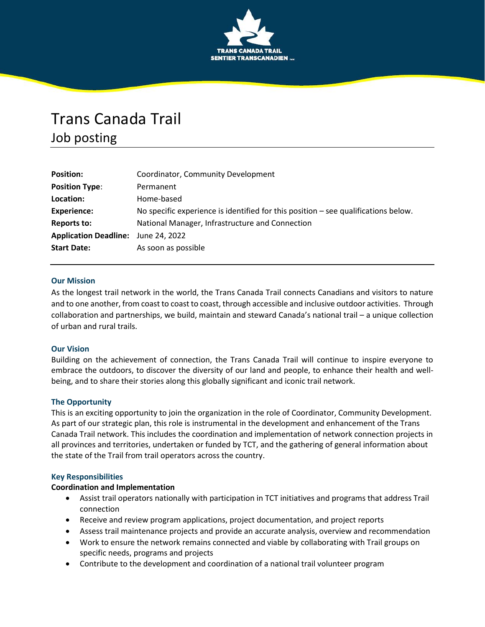

# Trans Canada Trail Job posting

| <b>Position:</b>             | Coordinator, Community Development                                                 |
|------------------------------|------------------------------------------------------------------------------------|
| <b>Position Type:</b>        | Permanent                                                                          |
| Location:                    | Home-based                                                                         |
| <b>Experience:</b>           | No specific experience is identified for this position – see qualifications below. |
| Reports to:                  | National Manager, Infrastructure and Connection                                    |
| <b>Application Deadline:</b> | June 24, 2022                                                                      |
| <b>Start Date:</b>           | As soon as possible                                                                |

#### **Our Mission**

As the longest trail network in the world, the Trans Canada Trail connects Canadians and visitors to nature and to one another, from coast to coast to coast, through accessible and inclusive outdoor activities. Through collaboration and partnerships, we build, maintain and steward Canada's national trail – a unique collection of urban and rural trails.

#### **Our Vision**

Building on the achievement of connection, the Trans Canada Trail will continue to inspire everyone to embrace the outdoors, to discover the diversity of our land and people, to enhance their health and wellbeing, and to share their stories along this globally significant and iconic trail network.

# **The Opportunity**

This is an exciting opportunity to join the organization in the role of Coordinator, Community Development. As part of our strategic plan, this role is instrumental in the development and enhancement of the Trans Canada Trail network. This includes the coordination and implementation of network connection projects in all provinces and territories, undertaken or funded by TCT, and the gathering of general information about the state of the Trail from trail operators across the country.

#### **Key Responsibilities**

#### **Coordination and Implementation**

- Assist trail operators nationally with participation in TCT initiatives and programs that address Trail connection
- Receive and review program applications, project documentation, and project reports
- Assess trail maintenance projects and provide an accurate analysis, overview and recommendation
- Work to ensure the network remains connected and viable by collaborating with Trail groups on specific needs, programs and projects
- Contribute to the development and coordination of a national trail volunteer program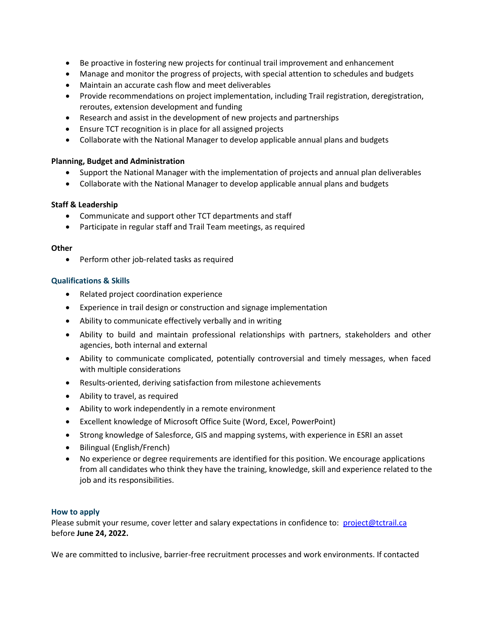- Be proactive in fostering new projects for continual trail improvement and enhancement
- Manage and monitor the progress of projects, with special attention to schedules and budgets
- Maintain an accurate cash flow and meet deliverables
- Provide recommendations on project implementation, including Trail registration, deregistration, reroutes, extension development and funding
- Research and assist in the development of new projects and partnerships
- Ensure TCT recognition is in place for all assigned projects
- Collaborate with the National Manager to develop applicable annual plans and budgets

# **Planning, Budget and Administration**

- Support the National Manager with the implementation of projects and annual plan deliverables
- Collaborate with the National Manager to develop applicable annual plans and budgets

# **Staff & Leadership**

- Communicate and support other TCT departments and staff
- Participate in regular staff and Trail Team meetings, as required

#### **Other**

• Perform other job-related tasks as required

# **Qualifications & Skills**

- Related project coordination experience
- Experience in trail design or construction and signage implementation
- Ability to communicate effectively verbally and in writing
- Ability to build and maintain professional relationships with partners, stakeholders and other agencies, both internal and external
- Ability to communicate complicated, potentially controversial and timely messages, when faced with multiple considerations
- Results-oriented, deriving satisfaction from milestone achievements
- Ability to travel, as required
- Ability to work independently in a remote environment
- Excellent knowledge of Microsoft Office Suite (Word, Excel, PowerPoint)
- Strong knowledge of Salesforce, GIS and mapping systems, with experience in ESRI an asset
- Bilingual (English/French)
- No experience or degree requirements are identified for this position. We encourage applications from all candidates who think they have the training, knowledge, skill and experience related to the job and its responsibilities.

# **How to apply**

Please submit your resume, cover letter and salary expectations in confidence to: project@tctrail.ca before **June 24, 2022.**

We are committed to inclusive, barrier-free recruitment processes and work environments. If contacted